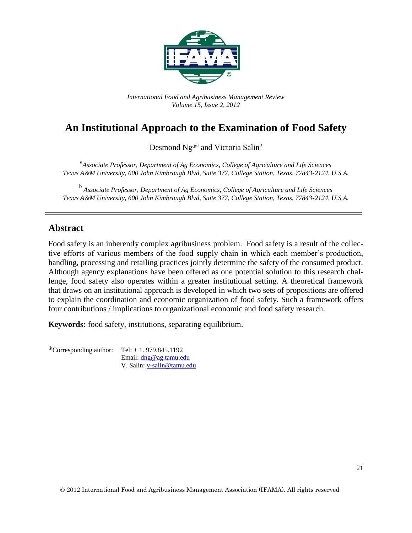

*International Food and Agribusiness Management Review Volume 15, Issue 2, 2012*

# **An Institutional Approach to the Examination of Food Safety**

Desmond Ng<sup>®a</sup> and Victoria Salin<sup>b</sup>

<sup>a</sup> Associate Professor, Department of Ag Economics, College of Agriculture and Life Sciences *Texas A&M University, 600 John Kimbrough Blvd, Suite 377, College Station, Texas, 77843-2124, U.S.A.*

b *Associate Professor, Department of Ag Economics, College of Agriculture and Life Sciences Texas A&M University, 600 John Kimbrough Blvd, Suite 377, College Station, Texas, 77843-2124, U.S.A.*

### **Abstract**

Food safety is an inherently complex agribusiness problem. Food safety is a result of the collective efforts of various members of the food supply chain in which each member's production, handling, processing and retailing practices jointly determine the safety of the consumed product. Although agency explanations have been offered as one potential solution to this research challenge, food safety also operates within a greater institutional setting. A theoretical framework that draws on an institutional approach is developed in which two sets of propositions are offered to explain the coordination and economic organization of food safety. Such a framework offers four contributions / implications to organizational economic and food safety research.

**Keywords:** food safety, institutions, separating equilibrium.

 $^{\circ}$ Corresponding author: Tel: + 1. 979.845.1192 Email: [dng@ag.tamu.edu](mailto:dng@ag.tamu.edu) V. Salin: [v-salin@tamu.edu](mailto:v-salin@tamu.edu)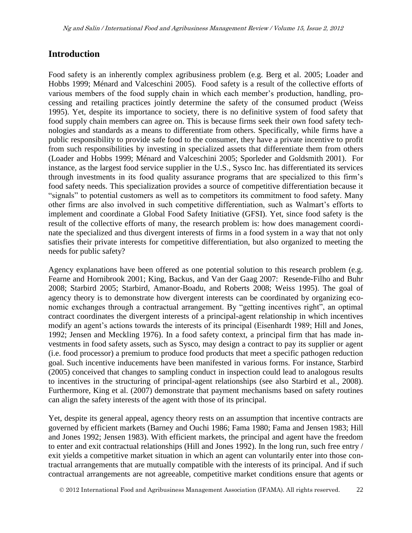## **Introduction**

Food safety is an inherently complex agribusiness problem (e.g. Berg et al. 2005; Loader and Hobbs 1999; Ménard and Valceschini 2005). Food safety is a result of the collective efforts of various members of the food supply chain in which each member's production, handling, processing and retailing practices jointly determine the safety of the consumed product (Weiss 1995). Yet, despite its importance to society, there is no definitive system of food safety that food supply chain members can agree on. This is because firms seek their own food safety technologies and standards as a means to differentiate from others. Specifically, while firms have a public responsibility to provide safe food to the consumer, they have a private incentive to profit from such responsibilities by investing in specialized assets that differentiate them from others (Loader and Hobbs 1999; Ménard and Valceschini 2005; Sporleder and Goldsmith 2001). For instance, as the largest food service supplier in the U.S., Sysco Inc. has differentiated its services through investments in its food quality assurance programs that are specialized to this firm's food safety needs. This specialization provides a source of competitive differentiation because it "signals" to potential customers as well as to competitors its commitment to food safety. Many other firms are also involved in such competitive differentiation, such as Walmart's efforts to implement and coordinate a Global Food Safety Initiative (GFSI). Yet, since food safety is the result of the collective efforts of many, the research problem is: how does management coordinate the specialized and thus divergent interests of firms in a food system in a way that not only satisfies their private interests for competitive differentiation, but also organized to meeting the needs for public safety?

Agency explanations have been offered as one potential solution to this research problem (e.g. Fearne and Hornibrook 2001; King, Backus, and Van der Gaag 2007: Resende-Filho and Buhr 2008; Starbird 2005; Starbird, Amanor-Boadu, and Roberts 2008; Weiss 1995). The goal of agency theory is to demonstrate how divergent interests can be coordinated by organizing economic exchanges through a contractual arrangement. By "getting incentives right", an optimal contract coordinates the divergent interests of a principal-agent relationship in which incentives modify an agent's actions towards the interests of its principal (Eisenhardt 1989; Hill and Jones, 1992; Jensen and Meckling 1976). In a food safety context, a principal firm that has made investments in food safety assets, such as Sysco, may design a contract to pay its supplier or agent (i.e. food processor) a premium to produce food products that meet a specific pathogen reduction goal. Such incentive inducements have been manifested in various forms. For instance, Starbird (2005) conceived that changes to sampling conduct in inspection could lead to analogous results to incentives in the structuring of principal-agent relationships (see also Starbird et al., 2008). Furthermore, King et al. (2007) demonstrate that payment mechanisms based on safety routines can align the safety interests of the agent with those of its principal.

Yet, despite its general appeal, agency theory rests on an assumption that incentive contracts are governed by efficient markets (Barney and Ouchi 1986; Fama 1980; Fama and Jensen 1983; Hill and Jones 1992; Jensen 1983). With efficient markets, the principal and agent have the freedom to enter and exit contractual relationships (Hill and Jones 1992). In the long run, such free entry / exit yields a competitive market situation in which an agent can voluntarily enter into those contractual arrangements that are mutually compatible with the interests of its principal. And if such contractual arrangements are not agreeable, competitive market conditions ensure that agents or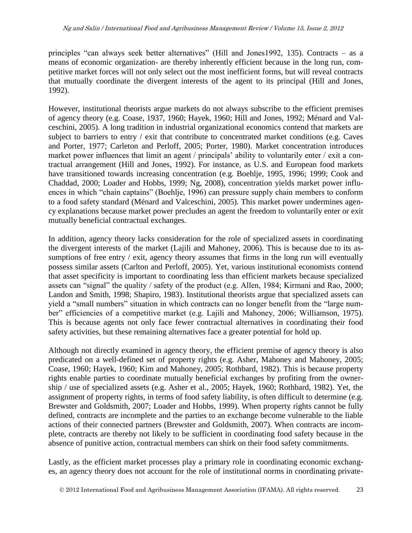principles "can always seek better alternatives" (Hill and Jones1992, 135). Contracts – as a means of economic organization- are thereby inherently efficient because in the long run, competitive market forces will not only select out the most inefficient forms, but will reveal contracts that mutually coordinate the divergent interests of the agent to its principal (Hill and Jones, 1992).

However, institutional theorists argue markets do not always subscribe to the efficient premises of agency theory (e.g. Coase, 1937, 1960; Hayek, 1960; Hill and Jones, 1992; Ménard and Valceschini, 2005). A long tradition in industrial organizational economics contend that markets are subject to barriers to entry / exit that contribute to concentrated market conditions (e.g. Caves and Porter, 1977; Carleton and Perloff, 2005; Porter, 1980). Market concentration introduces market power influences that limit an agent / principals' ability to voluntarily enter / exit a contractual arrangement (Hill and Jones, 1992). For instance, as U.S. and European food markets have transitioned towards increasing concentration (e.g. Boehlje, 1995, 1996; 1999; Cook and Chaddad, 2000; Loader and Hobbs, 1999; Ng, 2008), concentration yields market power influences in which "chain captains" (Boehlje, 1996) can pressure supply chain members to conform to a food safety standard (Ménard and Valceschini, 2005). This market power undermines agency explanations because market power precludes an agent the freedom to voluntarily enter or exit mutually beneficial contractual exchanges.

In addition, agency theory lacks consideration for the role of specialized assets in coordinating the divergent interests of the market (Lajili and Mahoney, 2006). This is because due to its assumptions of free entry / exit, agency theory assumes that firms in the long run will eventually possess similar assets (Carlton and Perloff, 2005). Yet, various institutional economists contend that asset specificity is important to coordinating less than efficient markets because specialized assets can "signal" the quality / safety of the product (e.g. Allen, 1984; Kirmani and Rao, 2000; Landon and Smith, 1998; Shapiro, 1983). Institutional theorists argue that specialized assets can yield a "small numbers" situation in which contracts can no longer benefit from the "large number" efficiencies of a competitive market (e.g. Lajili and Mahoney, 2006; Williamson, 1975). This is because agents not only face fewer contractual alternatives in coordinating their food safety activities, but these remaining alternatives face a greater potential for hold up.

Although not directly examined in agency theory, the efficient premise of agency theory is also predicated on a well-defined set of property rights (e.g. Asher, Mahoney and Mahoney, 2005; Coase, 1960; Hayek, 1960; Kim and Mahoney, 2005; Rothbard, 1982). This is because property rights enable parties to coordinate mutually beneficial exchanges by profiting from the ownership / use of specialized assets (e.g. Asher et al., 2005; Hayek, 1960; Rothbard, 1982). Yet, the assignment of property rights, in terms of food safety liability, is often difficult to determine (e.g. Brewster and Goldsmith, 2007; Loader and Hobbs, 1999). When property rights cannot be fully defined, contracts are incomplete and the parties to an exchange become vulnerable to the liable actions of their connected partners (Brewster and Goldsmith, 2007). When contracts are incomplete, contracts are thereby not likely to be sufficient in coordinating food safety because in the absence of punitive action, contractual members can shirk on their food safety commitments.

Lastly, as the efficient market processes play a primary role in coordinating economic exchanges, an agency theory does not account for the role of institutional norms in coordinating private-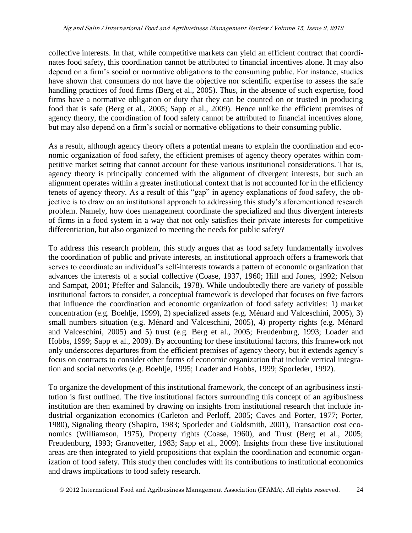collective interests. In that, while competitive markets can yield an efficient contract that coordinates food safety, this coordination cannot be attributed to financial incentives alone. It may also depend on a firm's social or normative obligations to the consuming public. For instance, studies have shown that consumers do not have the objective nor scientific expertise to assess the safe handling practices of food firms (Berg et al., 2005). Thus, in the absence of such expertise, food firms have a normative obligation or duty that they can be counted on or trusted in producing food that is safe (Berg et al., 2005; Sapp et al., 2009). Hence unlike the efficient premises of agency theory, the coordination of food safety cannot be attributed to financial incentives alone, but may also depend on a firm's social or normative obligations to their consuming public.

As a result, although agency theory offers a potential means to explain the coordination and economic organization of food safety, the efficient premises of agency theory operates within competitive market setting that cannot account for these various institutional considerations. That is, agency theory is principally concerned with the alignment of divergent interests, but such an alignment operates within a greater institutional context that is not accounted for in the efficiency tenets of agency theory. As a result of this "gap" in agency explanations of food safety, the objective is to draw on an institutional approach to addressing this study's aforementioned research problem. Namely, how does management coordinate the specialized and thus divergent interests of firms in a food system in a way that not only satisfies their private interests for competitive differentiation, but also organized to meeting the needs for public safety?

To address this research problem, this study argues that as food safety fundamentally involves the coordination of public and private interests, an institutional approach offers a framework that serves to coordinate an individual's self-interests towards a pattern of economic organization that advances the interests of a social collective (Coase, 1937, 1960; Hill and Jones, 1992; Nelson and Sampat, 2001; Pfeffer and Salancik, 1978). While undoubtedly there are variety of possible institutional factors to consider, a conceptual framework is developed that focuses on five factors that influence the coordination and economic organization of food safety activities: 1) market concentration (e.g. Boehlje, 1999), 2) specialized assets (e.g. Ménard and Valceschini, 2005), 3) small numbers situation (e.g. Ménard and Valceschini, 2005), 4) property rights (e.g. Ménard and Valceschini, 2005) and 5) trust (e.g. Berg et al., 2005; Freudenburg, 1993; Loader and Hobbs, 1999; Sapp et al., 2009). By accounting for these institutional factors, this framework not only underscores departures from the efficient premises of agency theory, but it extends agency's focus on contracts to consider other forms of economic organization that include vertical integration and social networks (e.g. Boehlje, 1995; Loader and Hobbs, 1999; Sporleder, 1992).

To organize the development of this institutional framework, the concept of an agribusiness institution is first outlined. The five institutional factors surrounding this concept of an agribusiness institution are then examined by drawing on insights from institutional research that include industrial organization economics (Carleton and Perloff, 2005; Caves and Porter, 1977; Porter, 1980), Signaling theory (Shapiro, 1983; Sporleder and Goldsmith, 2001), Transaction cost economics (Williamson, 1975), Property rights (Coase, 1960), and Trust (Berg et al., 2005; Freudenburg, 1993; Granovetter, 1983; Sapp et al., 2009). Insights from these five institutional areas are then integrated to yield propositions that explain the coordination and economic organization of food safety. This study then concludes with its contributions to institutional economics and draws implications to food safety research.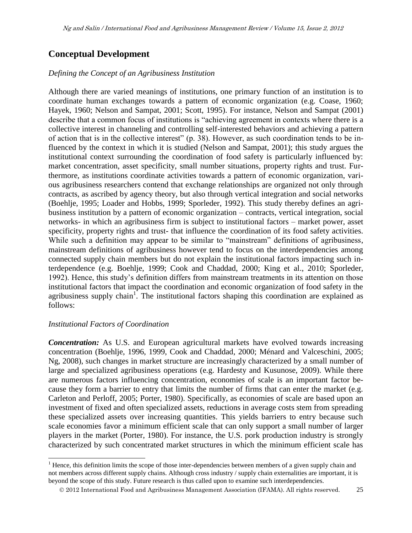# **Conceptual Development**

#### *Defining the Concept of an Agribusiness Institution*

Although there are varied meanings of institutions, one primary function of an institution is to coordinate human exchanges towards a pattern of economic organization (e.g. Coase, 1960; Hayek, 1960; Nelson and Sampat, 2001; Scott, 1995). For instance, Nelson and Sampat (2001) describe that a common focus of institutions is "achieving agreement in contexts where there is a collective interest in channeling and controlling self-interested behaviors and achieving a pattern of action that is in the collective interest" (p. 38). However, as such coordination tends to be influenced by the context in which it is studied (Nelson and Sampat, 2001); this study argues the institutional context surrounding the coordination of food safety is particularly influenced by: market concentration, asset specificity, small number situations, property rights and trust. Furthermore, as institutions coordinate activities towards a pattern of economic organization, various agribusiness researchers contend that exchange relationships are organized not only through contracts, as ascribed by agency theory, but also through vertical integration and social networks (Boehlje, 1995; Loader and Hobbs, 1999; Sporleder, 1992). This study thereby defines an agribusiness institution by a pattern of economic organization – contracts, vertical integration, social networks- in which an agribusiness firm is subject to institutional factors – market power, asset specificity, property rights and trust- that influence the coordination of its food safety activities. While such a definition may appear to be similar to "mainstream" definitions of agribusiness, mainstream definitions of agribusiness however tend to focus on the interdependencies among connected supply chain members but do not explain the institutional factors impacting such interdependence (e.g. Boehlje, 1999; Cook and Chaddad, 2000; King et al., 2010; Sporleder, 1992). Hence, this study's definition differs from mainstream treatments in its attention on those institutional factors that impact the coordination and economic organization of food safety in the agribusiness supply chain<sup>1</sup>. The institutional factors shaping this coordination are explained as follows:

#### *Institutional Factors of Coordination*

*Concentration:* As U.S. and European agricultural markets have evolved towards increasing concentration (Boehlje, 1996, 1999, Cook and Chaddad, 2000; Ménard and Valceschini, 2005; Ng, 2008), such changes in market structure are increasingly characterized by a small number of large and specialized agribusiness operations (e.g. Hardesty and Kusunose, 2009). While there are numerous factors influencing concentration, economies of scale is an important factor because they form a barrier to entry that limits the number of firms that can enter the market (e.g. Carleton and Perloff, 2005; Porter, 1980). Specifically, as economies of scale are based upon an investment of fixed and often specialized assets, reductions in average costs stem from spreading these specialized assets over increasing quantities. This yields barriers to entry because such scale economies favor a minimum efficient scale that can only support a small number of larger players in the market (Porter, 1980). For instance, the U.S. pork production industry is strongly characterized by such concentrated market structures in which the minimum efficient scale has

l  $<sup>1</sup>$  Hence, this definition limits the scope of those inter-dependencies between members of a given supply chain and</sup> not members across different supply chains. Although cross industry / supply chain externalities are important, it is beyond the scope of this study. Future research is thus called upon to examine such interdependencies.

2012 International Food and Agribusiness Management Association (IFAMA). All rights reserved. 25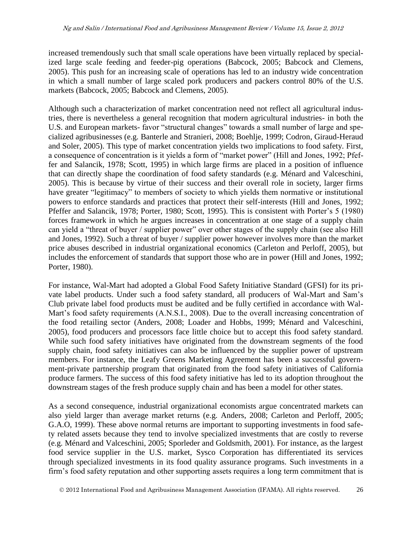increased tremendously such that small scale operations have been virtually replaced by specialized large scale feeding and feeder-pig operations (Babcock, 2005; Babcock and Clemens, 2005). This push for an increasing scale of operations has led to an industry wide concentration in which a small number of large scaled pork producers and packers control 80% of the U.S. markets (Babcock, 2005; Babcock and Clemens, 2005).

Although such a characterization of market concentration need not reflect all agricultural industries, there is nevertheless a general recognition that modern agricultural industries- in both the U.S. and European markets- favor "structural changes" towards a small number of large and specialized agribusinesses (e.g. Banterle and Stranieri, 2008; Boehlje, 1999; Codron, Giraud-Heraud and Soler, 2005). This type of market concentration yields two implications to food safety. First, a consequence of concentration is it yields a form of "market power" (Hill and Jones, 1992; Pfeffer and Salancik, 1978; Scott, 1995) in which large firms are placed in a position of influence that can directly shape the coordination of food safety standards (e.g. Ménard and Valceschini, 2005). This is because by virtue of their success and their overall role in society, larger firms have greater "legitimacy" to members of society to which yields them normative or institutional powers to enforce standards and practices that protect their self-interests (Hill and Jones, 1992; Pfeffer and Salancik, 1978; Porter, 1980; Scott, 1995). This is consistent with Porter's 5 (1980) forces framework in which he argues increases in concentration at one stage of a supply chain can yield a "threat of buyer / supplier power" over other stages of the supply chain (see also Hill and Jones, 1992). Such a threat of buyer / supplier power however involves more than the market price abuses described in industrial organizational economics (Carleton and Perloff, 2005), but includes the enforcement of standards that support those who are in power (Hill and Jones, 1992; Porter, 1980).

For instance, Wal-Mart had adopted a Global Food Safety Initiative Standard (GFSI) for its private label products. Under such a food safety standard, all producers of Wal-Mart and Sam's Club private label food products must be audited and be fully certified in accordance with Wal-Mart's food safety requirements (A.N.S.I., 2008). Due to the overall increasing concentration of the food retailing sector (Anders, 2008; Loader and Hobbs, 1999; Ménard and Valceschini, 2005), food producers and processors face little choice but to accept this food safety standard. While such food safety initiatives have originated from the downstream segments of the food supply chain, food safety initiatives can also be influenced by the supplier power of upstream members. For instance, the Leafy Greens Marketing Agreement has been a successful government-private partnership program that originated from the food safety initiatives of California produce farmers. The success of this food safety initiative has led to its adoption throughout the downstream stages of the fresh produce supply chain and has been a model for other states.

As a second consequence, industrial organizational economists argue concentrated markets can also yield larger than average market returns (e.g. Anders, 2008; Carleton and Perloff, 2005; G.A.O, 1999). These above normal returns are important to supporting investments in food safety related assets because they tend to involve specialized investments that are costly to reverse (e.g. Ménard and Valceschini, 2005; Sporleder and Goldsmith, 2001). For instance, as the largest food service supplier in the U.S. market, Sysco Corporation has differentiated its services through specialized investments in its food quality assurance programs. Such investments in a firm's food safety reputation and other supporting assets requires a long term commitment that is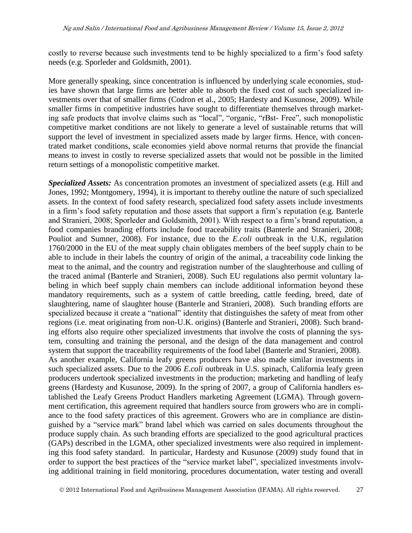costly to reverse because such investments tend to be highly specialized to a firm's food safety needs (e.g. Sporleder and Goldsmith, 2001).

More generally speaking, since concentration is influenced by underlying scale economies, studies have shown that large firms are better able to absorb the fixed cost of such specialized investments over that of smaller firms (Codron et al., 2005; Hardesty and Kusunose, 2009). While smaller firms in competitive industries have sought to differentiate themselves through marketing safe products that involve claims such as "local", "organic, "rBst- Free", such monopolistic competitive market conditions are not likely to generate a level of sustainable returns that will support the level of investment in specialized assets made by larger firms. Hence, with concentrated market conditions, scale economies yield above normal returns that provide the financial means to invest in costly to reverse specialized assets that would not be possible in the limited return settings of a monopolistic competitive market.

*Specialized Assets:* As concentration promotes an investment of specialized assets (e.g. Hill and Jones, 1992; Montgomery, 1994), it is important to thereby outline the nature of such specialized assets. In the context of food safety research, specialized food safety assets include investments in a firm's food safety reputation and those assets that support a firm's reputation (e.g. Banterle and Stranieri, 2008; Sporleder and Goldsmith, 2001). With respect to a firm's brand reputation, a food companies branding efforts include food traceability traits (Banterle and Stranieri, 2008; Pouliot and Sumner, 2008). For instance, due to the *E.coli* outbreak in the U.K, regulation 1760/2000 in the EU of the meat supply chain obligates members of the beef supply chain to be able to include in their labels the country of origin of the animal, a traceability code linking the meat to the animal, and the country and registration number of the slaughterhouse and culling of the traced animal (Banterle and Stranieri, 2008). Such EU regulations also permit voluntary labeling in which beef supply chain members can include additional information beyond these mandatory requirements, such as a system of cattle breeding, cattle feeding, breed, date of slaughtering, name of slaughter house (Banterle and Stranieri, 2008). Such branding efforts are specialized because it create a "national" identity that distinguishes the safety of meat from other regions (i.e. meat originating from non-U.K. origins) (Banterle and Stranieri, 2008). Such branding efforts also require other specialized investments that involve the costs of planning the system, consulting and training the personal, and the design of the data management and control system that support the traceability requirements of the food label (Banterle and Stranieri, 2008). As another example, California leafy greens producers have also made similar investments in such specialized assets. Due to the 2006 *E.coli* outbreak in U.S. spinach, California leafy green producers undertook specialized investments in the production; marketing and handling of leafy greens (Hardesty and Kusunose, 2009). In the spring of 2007, a group of California handlers established the Leafy Greens Product Handlers marketing Agreement (LGMA). Through government certification, this agreement required that handlers source from growers who are in compliance to the food safety practices of this agreement. Growers who are in compliance are distinguished by a "service mark" brand label which was carried on sales documents throughout the produce supply chain. As such branding efforts are specialized to the good agricultural practices (GAPs) described in the LGMA, other specialized investments were also required in implementing this food safety standard. In particular, Hardesty and Kusunose (2009) study found that in order to support the best practices of the "service market label", specialized investments involving additional training in field monitoring, procedures documentation, water testing and overall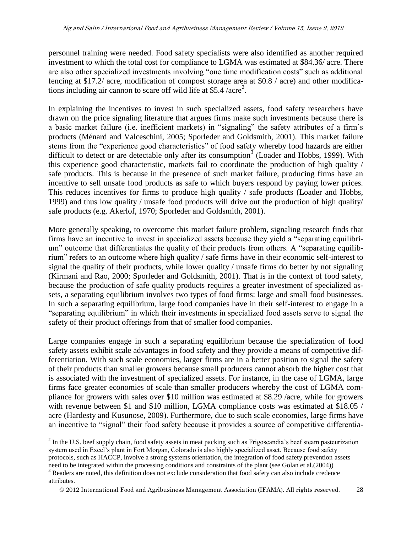personnel training were needed. Food safety specialists were also identified as another required investment to which the total cost for compliance to LGMA was estimated at \$84.36/ acre. There are also other specialized investments involving "one time modification costs" such as additional fencing at \$17.2/ acre, modification of compost storage area at \$0.8 / acre) and other modifications including air cannon to scare off wild life at \$5.4  $/$  acre<sup>2</sup>.

In explaining the incentives to invest in such specialized assets, food safety researchers have drawn on the price signaling literature that argues firms make such investments because there is a basic market failure (i.e. inefficient markets) in "signaling" the safety attributes of a firm's products (Ménard and Valceschini, 2005; Sporleder and Goldsmith, 2001). This market failure stems from the "experience good characteristics" of food safety whereby food hazards are either difficult to detect or are detectable only after its consumption<sup>3</sup> (Loader and Hobbs, 1999). With this experience good characteristic, markets fail to coordinate the production of high quality / safe products. This is because in the presence of such market failure, producing firms have an incentive to sell unsafe food products as safe to which buyers respond by paying lower prices. This reduces incentives for firms to produce high quality / safe products (Loader and Hobbs, 1999) and thus low quality / unsafe food products will drive out the production of high quality/ safe products (e.g. Akerlof, 1970; Sporleder and Goldsmith, 2001).

More generally speaking, to overcome this market failure problem, signaling research finds that firms have an incentive to invest in specialized assets because they yield a "separating equilibrium" outcome that differentiates the quality of their products from others. A "separating equilibrium" refers to an outcome where high quality / safe firms have in their economic self-interest to signal the quality of their products, while lower quality / unsafe firms do better by not signaling (Kirmani and Rao, 2000; Sporleder and Goldsmith, 2001). That is in the context of food safety, because the production of safe quality products requires a greater investment of specialized assets, a separating equilibrium involves two types of food firms: large and small food businesses. In such a separating equilibrium, large food companies have in their self-interest to engage in a "separating equilibrium" in which their investments in specialized food assets serve to signal the safety of their product offerings from that of smaller food companies.

Large companies engage in such a separating equilibrium because the specialization of food safety assets exhibit scale advantages in food safety and they provide a means of competitive differentiation. With such scale economies, larger firms are in a better position to signal the safety of their products than smaller growers because small producers cannot absorb the higher cost that is associated with the investment of specialized assets. For instance, in the case of LGMA, large firms face greater economies of scale than smaller producers whereby the cost of LGMA compliance for growers with sales over \$10 million was estimated at \$8.29 /acre, while for growers with revenue between \$1 and \$10 million, LGMA compliance costs was estimated at \$18.05 / acre (Hardesty and Kusunose, 2009). Furthermore, due to such scale economies, large firms have an incentive to "signal" their food safety because it provides a source of competitive differentia-

 $\overline{a}$ 

 $2^{2}$  In the U.S. beef supply chain, food safety assets in meat packing such as Frigoscandia's beef steam pasteurization system used in Excel's plant in Fort Morgan, Colorado is also highly specialized asset. Because food safety protocols, such as HACCP, involve a strong systems orientation, the integration of food safety prevention assets need to be integrated within the processing conditions and constraints of the plant (see Golan et al.(2004))

<sup>&</sup>lt;sup>3</sup> Readers are noted, this definition does not exclude consideration that food safety can also include credence attributes.

2012 International Food and Agribusiness Management Association (IFAMA). All rights reserved. 28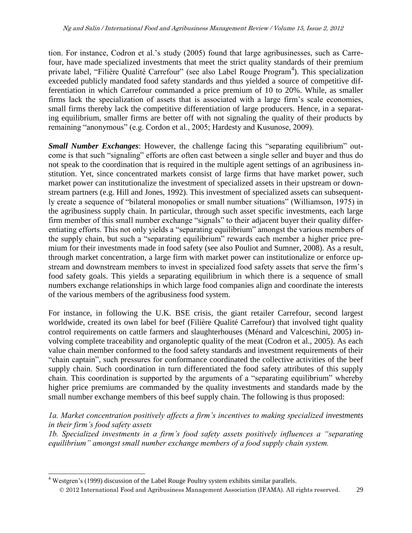tion. For instance, Codron et al.'s study (2005) found that large agribusinesses, such as Carrefour, have made specialized investments that meet the strict quality standards of their premium private label, "Filière Qualité Carrefour" (see also Label Rouge Program<sup>4</sup>). This specialization exceeded publicly mandated food safety standards and thus yielded a source of competitive differentiation in which Carrefour commanded a price premium of 10 to 20%. While, as smaller firms lack the specialization of assets that is associated with a large firm's scale economies, small firms thereby lack the competitive differentiation of large producers. Hence, in a separating equilibrium, smaller firms are better off with not signaling the quality of their products by remaining "anonymous" (e.g. Cordon et al., 2005; Hardesty and Kusunose, 2009).

*Small Number Exchanges*: However, the challenge facing this "separating equilibrium" outcome is that such "signaling" efforts are often cast between a single seller and buyer and thus do not speak to the coordination that is required in the multiple agent settings of an agribusiness institution. Yet, since concentrated markets consist of large firms that have market power, such market power can institutionalize the investment of specialized assets in their upstream or downstream partners (e.g. Hill and Jones, 1992). This investment of specialized assets can subsequently create a sequence of "bilateral monopolies or small number situations" (Williamson, 1975) in the agribusiness supply chain. In particular, through such asset specific investments, each large firm member of this small number exchange "signals" to their adjacent buyer their quality differentiating efforts. This not only yields a "separating equilibrium" amongst the various members of the supply chain, but such a "separating equilibrium" rewards each member a higher price premium for their investments made in food safety (see also Pouliot and Sumner, 2008). As a result, through market concentration, a large firm with market power can institutionalize or enforce upstream and downstream members to invest in specialized food safety assets that serve the firm's food safety goals. This yields a separating equilibrium in which there is a sequence of small numbers exchange relationships in which large food companies align and coordinate the interests of the various members of the agribusiness food system.

For instance, in following the U.K. BSE crisis, the giant retailer Carrefour, second largest worldwide, created its own label for beef (Filière Qualité Carrefour) that involved tight quality control requirements on cattle farmers and slaughterhouses (Ménard and Valceschini, 2005) involving complete traceability and organoleptic quality of the meat (Codron et al., 2005). As each value chain member conformed to the food safety standards and investment requirements of their "chain captain", such pressures for conformance coordinated the collective activities of the beef supply chain. Such coordination in turn differentiated the food safety attributes of this supply chain. This coordination is supported by the arguments of a "separating equilibrium" whereby higher price premiums are commanded by the quality investments and standards made by the small number exchange members of this beef supply chain. The following is thus proposed:

*1a. Market concentration positively affects a firm's incentives to making specialized investments in their firm's food safety assets*

*1b. Specialized investments in a firm's food safety assets positively influences a "separating equilibrium" amongst small number exchange members of a food supply chain system.* 

 $\overline{a}$ 

 $4$  Westgren's (1999) discussion of the Label Rouge Poultry system exhibits similar parallels.

2012 International Food and Agribusiness Management Association (IFAMA). All rights reserved. 29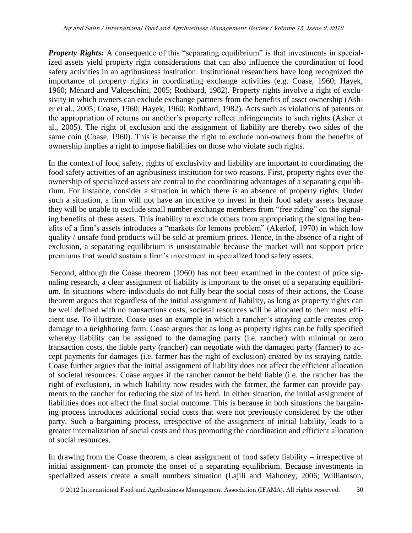**Property Rights:** A consequence of this "separating equilibrium" is that investments in specialized assets yield property right considerations that can also influence the coordination of food safety activities in an agribusiness institution. Institutional researchers have long recognized the importance of property rights in coordinating exchange activities (e.g. Coase, 1960; Hayek, 1960; Ménard and Valceschini, 2005; Rothbard, 1982). Property rights involve a right of exclusivity in which owners can exclude exchange partners from the benefits of asset ownership (Asher et al., 2005; Coase, 1960; Hayek, 1960; Rothbard, 1982). Acts such as violations of patents or the appropriation of returns on another's property reflect infringements to such rights (Asher et al., 2005). The right of exclusion and the assignment of liability are thereby two sides of the same coin (Coase, 1960). This is because the right to exclude non-owners from the benefits of ownership implies a right to impose liabilities on those who violate such rights.

In the context of food safety, rights of exclusivity and liability are important to coordinating the food safety activities of an agribusiness institution for two reasons. First, property rights over the ownership of specialized assets are central to the coordinating advantages of a separating equilibrium. For instance, consider a situation in which there is an absence of property rights. Under such a situation, a firm will not have an incentive to invest in their food safety assets because they will be unable to exclude small number exchange members from "free riding" on the signaling benefits of these assets. This inability to exclude others from appropriating the signaling benefits of a firm's assets introduces a "markets for lemons problem" (Akerlof, 1970) in which low quality / unsafe food products will be sold at premium prices. Hence, in the absence of a right of exclusion, a separating equilibrium is unsustainable because the market will not support price premiums that would sustain a firm's investment in specialized food safety assets.

Second, although the Coase theorem (1960) has not been examined in the context of price signaling research, a clear assignment of liability is important to the onset of a separating equilibrium. In situations where individuals do not fully bear the social costs of their actions, the Coase theorem argues that regardless of the initial assignment of liability, as long as property rights can be well defined with no transactions costs, societal resources will be allocated to their most efficient use. To illustrate, Coase uses an example in which a rancher's straying cattle creates crop damage to a neighboring farm. Coase argues that as long as property rights can be fully specified whereby liability can be assigned to the damaging party (i.e. rancher) with minimal or zero transaction costs, the liable party (rancher) can negotiate with the damaged party (farmer) to accept payments for damages (i.e. farmer has the right of exclusion) created by its straying cattle. Coase further argues that the initial assignment of liability does not affect the efficient allocation of societal resources. Coase argues if the rancher cannot be held liable (i.e. the rancher has the right of exclusion), in which liability now resides with the farmer, the farmer can provide payments to the rancher for reducing the size of its herd. In either situation, the initial assignment of liabilities does not affect the final social outcome. This is because in both situations the bargaining process introduces additional social costs that were not previously considered by the other party. Such a bargaining process, irrespective of the assignment of initial liability, leads to a greater internalization of social costs and thus promoting the coordination and efficient allocation of social resources.

In drawing from the Coase theorem, a clear assignment of food safety liability – irrespective of initial assignment- can promote the onset of a separating equilibrium. Because investments in specialized assets create a small numbers situation (Lajili and Mahoney, 2006; Williamson,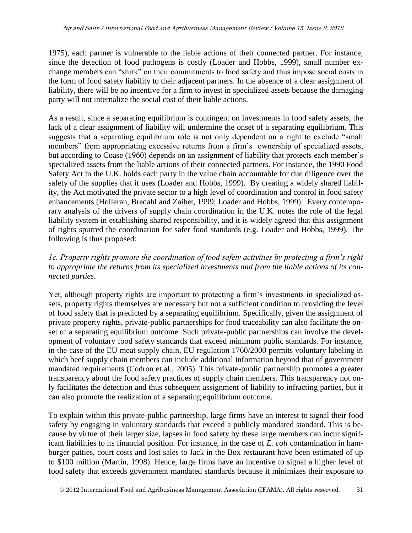1975), each partner is vulnerable to the liable actions of their connected partner. For instance, since the detection of food pathogens is costly (Loader and Hobbs, 1999), small number exchange members can "shirk" on their commitments to food safety and thus impose social costs in the form of food safety liability to their adjacent partners. In the absence of a clear assignment of liability, there will be no incentive for a firm to invest in specialized assets because the damaging party will not internalize the social cost of their liable actions.

As a result, since a separating equilibrium is contingent on investments in food safety assets, the lack of a clear assignment of liability will undermine the onset of a separating equilibrium. This suggests that a separating equilibrium role is not only dependent on a right to exclude "small members" from appropriating excessive returns from a firm's ownership of specialized assets, but according to Coase (1960) depends on an assignment of liability that protects each member's specialized assets from the liable actions of their connected partners. For instance, the 1990 Food Safety Act in the U.K. holds each party in the value chain accountable for due diligence over the safety of the supplies that it uses (Loader and Hobbs, 1999). By creating a widely shared liability, the Act motivated the private sector to a high level of coordination and control in food safety enhancements (Holleran, Bredahl and Zaibet, 1999; Loader and Hobbs, 1999). Every contemporary analysis of the drivers of supply chain coordination in the U.K. notes the role of the legal liability system in establishing shared responsibility, and it is widely agreed that this assignment of rights spurred the coordination for safer food standards (e.g. Loader and Hobbs, 1999). The following is thus proposed:

#### *1c. Property rights promote the coordination of food safety activities by protecting a firm's right to appropriate the returns from its specialized investments and from the liable actions of its connected parties.*

Yet, although property rights are important to protecting a firm's investments in specialized assets, property rights themselves are necessary but not a sufficient condition to providing the level of food safety that is predicted by a separating equilibrium. Specifically, given the assignment of private property rights, private-public partnerships for food traceability can also facilitate the onset of a separating equilibrium outcome. Such private-public partnerships can involve the development of voluntary food safety standards that exceed minimum public standards. For instance, in the case of the EU meat supply chain, EU regulation 1760/2000 permits voluntary labeling in which beef supply chain members can include additional information beyond that of government mandated requirements (Codron et al., 2005). This private-public partnership promotes a greater transparency about the food safety practices of supply chain members. This transparency not only facilitates the detection and thus subsequent assignment of liability to infracting parties, but it can also promote the realization of a separating equilibrium outcome.

To explain within this private-public partnership, large firms have an interest to signal their food safety by engaging in voluntary standards that exceed a publicly mandated standard. This is because by virtue of their larger size, lapses in food safety by these large members can incur significant liabilities to its financial position. For instance, in the case of *E. coli* contamination in hamburger patties, court costs and lost sales to Jack in the Box restaurant have been estimated of up to \$100 million (Martin, 1998). Hence, large firms have an incentive to signal a higher level of food safety that exceeds government mandated standards because it minimizes their exposure to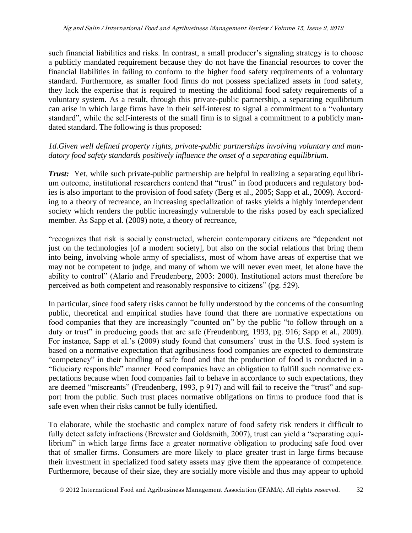such financial liabilities and risks. In contrast, a small producer's signaling strategy is to choose a publicly mandated requirement because they do not have the financial resources to cover the financial liabilities in failing to conform to the higher food safety requirements of a voluntary standard. Furthermore, as smaller food firms do not possess specialized assets in food safety, they lack the expertise that is required to meeting the additional food safety requirements of a voluntary system. As a result, through this private-public partnership, a separating equilibrium can arise in which large firms have in their self-interest to signal a commitment to a "voluntary standard", while the self-interests of the small firm is to signal a commitment to a publicly mandated standard. The following is thus proposed:

#### *1d.Given well defined property rights, private-public partnerships involving voluntary and mandatory food safety standards positively influence the onset of a separating equilibrium.*

*Trust:* Yet, while such private-public partnership are helpful in realizing a separating equilibrium outcome, institutional researchers contend that "trust" in food producers and regulatory bodies is also important to the provision of food safety (Berg et al., 2005; Sapp et al., 2009). According to a theory of recreance, an increasing specialization of tasks yields a highly interdependent society which renders the public increasingly vulnerable to the risks posed by each specialized member. As Sapp et al. (2009) note, a theory of recreance,

"recognizes that risk is socially constructed, wherein contemporary citizens are "dependent not just on the technologies [of a modern society], but also on the social relations that bring them into being, involving whole army of specialists, most of whom have areas of expertise that we may not be competent to judge, and many of whom we will never even meet, let alone have the ability to control" (Alario and Freudenberg, 2003: 2000). Institutional actors must therefore be perceived as both competent and reasonably responsive to citizens" (pg. 529).

In particular, since food safety risks cannot be fully understood by the concerns of the consuming public, theoretical and empirical studies have found that there are normative expectations on food companies that they are increasingly "counted on" by the public "to follow through on a duty or trust" in producing goods that are safe (Freudenburg, 1993, pg. 916; Sapp et al., 2009). For instance, Sapp et al.'s (2009) study found that consumers' trust in the U.S. food system is based on a normative expectation that agribusiness food companies are expected to demonstrate "competency" in their handling of safe food and that the production of food is conducted in a "fiduciary responsible" manner. Food companies have an obligation to fulfill such normative expectations because when food companies fail to behave in accordance to such expectations, they are deemed "miscreants" (Freudenberg, 1993, p 917) and will fail to receive the "trust" and support from the public. Such trust places normative obligations on firms to produce food that is safe even when their risks cannot be fully identified.

To elaborate, while the stochastic and complex nature of food safety risk renders it difficult to fully detect safety infractions (Brewster and Goldsmith, 2007), trust can yield a "separating equilibrium" in which large firms face a greater normative obligation to producing safe food over that of smaller firms. Consumers are more likely to place greater trust in large firms because their investment in specialized food safety assets may give them the appearance of competence. Furthermore, because of their size, they are socially more visible and thus may appear to uphold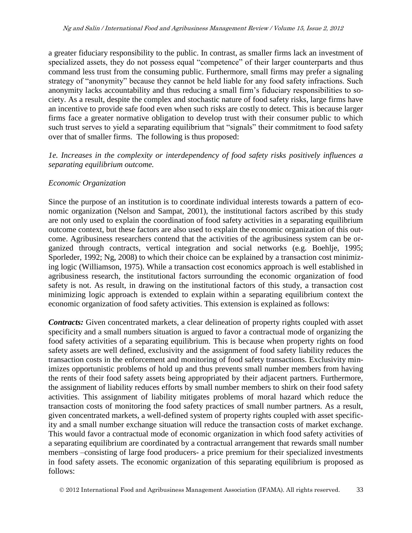a greater fiduciary responsibility to the public. In contrast, as smaller firms lack an investment of specialized assets, they do not possess equal "competence" of their larger counterparts and thus command less trust from the consuming public. Furthermore, small firms may prefer a signaling strategy of "anonymity" because they cannot be held liable for any food safety infractions. Such anonymity lacks accountability and thus reducing a small firm's fiduciary responsibilities to society. As a result, despite the complex and stochastic nature of food safety risks, large firms have an incentive to provide safe food even when such risks are costly to detect. This is because larger firms face a greater normative obligation to develop trust with their consumer public to which such trust serves to yield a separating equilibrium that "signals" their commitment to food safety over that of smaller firms. The following is thus proposed:

*1e. Increases in the complexity or interdependency of food safety risks positively influences a separating equilibrium outcome.*

#### *Economic Organization*

Since the purpose of an institution is to coordinate individual interests towards a pattern of economic organization (Nelson and Sampat, 2001), the institutional factors ascribed by this study are not only used to explain the coordination of food safety activities in a separating equilibrium outcome context, but these factors are also used to explain the economic organization of this outcome. Agribusiness researchers contend that the activities of the agribusiness system can be organized through contracts, vertical integration and social networks (e.g. Boehlje, 1995; Sporleder, 1992; Ng, 2008) to which their choice can be explained by a transaction cost minimizing logic (Williamson, 1975). While a transaction cost economics approach is well established in agribusiness research, the institutional factors surrounding the economic organization of food safety is not. As result, in drawing on the institutional factors of this study, a transaction cost minimizing logic approach is extended to explain within a separating equilibrium context the economic organization of food safety activities. This extension is explained as follows:

*Contracts:* Given concentrated markets, a clear delineation of property rights coupled with asset specificity and a small numbers situation is argued to favor a contractual mode of organizing the food safety activities of a separating equilibrium. This is because when property rights on food safety assets are well defined, exclusivity and the assignment of food safety liability reduces the transaction costs in the enforcement and monitoring of food safety transactions. Exclusivity minimizes opportunistic problems of hold up and thus prevents small number members from having the rents of their food safety assets being appropriated by their adjacent partners. Furthermore, the assignment of liability reduces efforts by small number members to shirk on their food safety activities. This assignment of liability mitigates problems of moral hazard which reduce the transaction costs of monitoring the food safety practices of small number partners. As a result, given concentrated markets, a well-defined system of property rights coupled with asset specificity and a small number exchange situation will reduce the transaction costs of market exchange. This would favor a contractual mode of economic organization in which food safety activities of a separating equilibrium are coordinated by a contractual arrangement that rewards small number members –consisting of large food producers- a price premium for their specialized investments in food safety assets. The economic organization of this separating equilibrium is proposed as follows: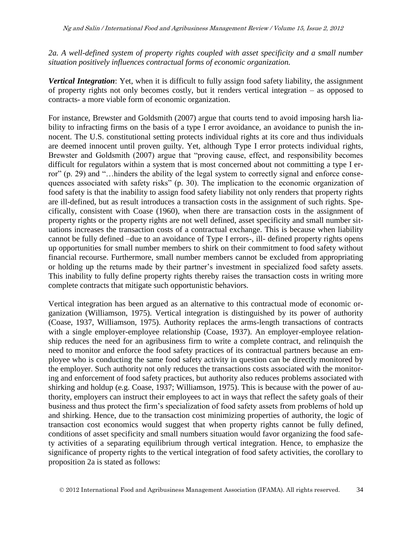*2a. A well-defined system of property rights coupled with asset specificity and a small number situation positively influences contractual forms of economic organization.* 

*Vertical Integration*: Yet, when it is difficult to fully assign food safety liability, the assignment of property rights not only becomes costly, but it renders vertical integration – as opposed to contracts- a more viable form of economic organization.

For instance, Brewster and Goldsmith (2007) argue that courts tend to avoid imposing harsh liability to infracting firms on the basis of a type I error avoidance, an avoidance to punish the innocent. The U.S. constitutional setting protects individual rights at its core and thus individuals are deemed innocent until proven guilty. Yet, although Type I error protects individual rights, Brewster and Goldsmith (2007) argue that "proving cause, effect, and responsibility becomes difficult for regulators within a system that is most concerned about not committing a type I error" (p. 29) and "…hinders the ability of the legal system to correctly signal and enforce consequences associated with safety risks" (p. 30). The implication to the economic organization of food safety is that the inability to assign food safety liability not only renders that property rights are ill-defined, but as result introduces a transaction costs in the assignment of such rights. Specifically, consistent with Coase (1960), when there are transaction costs in the assignment of property rights or the property rights are not well defined, asset specificity and small number situations increases the transaction costs of a contractual exchange. This is because when liability cannot be fully defined –due to an avoidance of Type I errors-, ill- defined property rights opens up opportunities for small number members to shirk on their commitment to food safety without financial recourse. Furthermore, small number members cannot be excluded from appropriating or holding up the returns made by their partner's investment in specialized food safety assets. This inability to fully define property rights thereby raises the transaction costs in writing more complete contracts that mitigate such opportunistic behaviors.

Vertical integration has been argued as an alternative to this contractual mode of economic organization (Williamson, 1975). Vertical integration is distinguished by its power of authority (Coase, 1937, Williamson, 1975). Authority replaces the arms-length transactions of contracts with a single employer-employee relationship (Coase, 1937). An employer-employee relationship reduces the need for an agribusiness firm to write a complete contract, and relinquish the need to monitor and enforce the food safety practices of its contractual partners because an employee who is conducting the same food safety activity in question can be directly monitored by the employer. Such authority not only reduces the transactions costs associated with the monitoring and enforcement of food safety practices, but authority also reduces problems associated with shirking and holdup (e.g. Coase, 1937; Williamson, 1975). This is because with the power of authority, employers can instruct their employees to act in ways that reflect the safety goals of their business and thus protect the firm's specialization of food safety assets from problems of hold up and shirking. Hence, due to the transaction cost minimizing properties of authority, the logic of transaction cost economics would suggest that when property rights cannot be fully defined, conditions of asset specificity and small numbers situation would favor organizing the food safety activities of a separating equilibrium through vertical integration. Hence, to emphasize the significance of property rights to the vertical integration of food safety activities, the corollary to proposition 2a is stated as follows: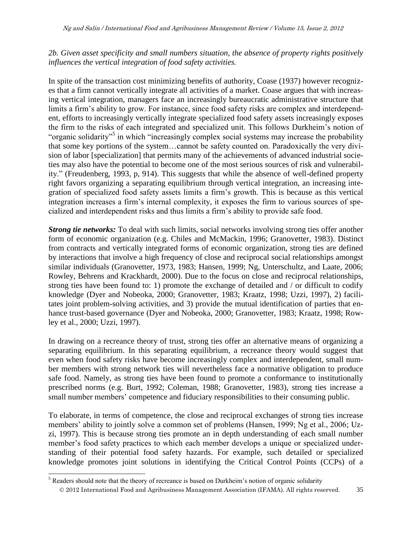*2b. Given asset specificity and small numbers situation, the absence of property rights positively influences the vertical integration of food safety activities.* 

In spite of the transaction cost minimizing benefits of authority, Coase (1937) however recognizes that a firm cannot vertically integrate all activities of a market. Coase argues that with increasing vertical integration, managers face an increasingly bureaucratic administrative structure that limits a firm's ability to grow. For instance, since food safety risks are complex and interdependent, efforts to increasingly vertically integrate specialized food safety assets increasingly exposes the firm to the risks of each integrated and specialized unit. This follows Durkheim's notion of "organic solidarity"<sup>5</sup> in which "increasingly complex social systems may increase the probability that some key portions of the system…cannot be safety counted on. Paradoxically the very division of labor [specialization] that permits many of the achievements of advanced industrial societies may also have the potential to become one of the most serious sources of risk and vulnerability." (Freudenberg, 1993, p, 914). This suggests that while the absence of well-defined property right favors organizing a separating equilibrium through vertical integration, an increasing integration of specialized food safety assets limits a firm's growth. This is because as this vertical integration increases a firm's internal complexity, it exposes the firm to various sources of specialized and interdependent risks and thus limits a firm's ability to provide safe food.

*Strong tie networks:* To deal with such limits, social networks involving strong ties offer another form of economic organization (e.g. Chiles and McMackin, 1996; Granovetter, 1983). Distinct from contracts and vertically integrated forms of economic organization, strong ties are defined by interactions that involve a high frequency of close and reciprocal social relationships amongst similar individuals (Granovetter, 1973, 1983; Hansen, 1999; Ng, Unterschultz, and Laate, 2006; Rowley, Behrens and Krackhardt, 2000). Due to the focus on close and reciprocal relationships, strong ties have been found to: 1) promote the exchange of detailed and / or difficult to codify knowledge (Dyer and Nobeoka, 2000; Granovetter, 1983; Kraatz, 1998; Uzzi, 1997), 2) facilitates joint problem-solving activities, and 3) provide the mutual identification of parties that enhance trust-based governance (Dyer and Nobeoka, 2000; Granovetter, 1983; Kraatz, 1998; Rowley et al., 2000; Uzzi, 1997).

In drawing on a recreance theory of trust, strong ties offer an alternative means of organizing a separating equilibrium. In this separating equilibrium, a recreance theory would suggest that even when food safety risks have become increasingly complex and interdependent, small number members with strong network ties will nevertheless face a normative obligation to produce safe food. Namely, as strong ties have been found to promote a conformance to institutionally prescribed norms (e.g. Burt, 1992; Coleman, 1988; Granovetter, 1983), strong ties increase a small number members' competence and fiduciary responsibilities to their consuming public.

To elaborate, in terms of competence, the close and reciprocal exchanges of strong ties increase members' ability to jointly solve a common set of problems (Hansen, 1999; Ng et al., 2006; Uzzi, 1997). This is because strong ties promote an in depth understanding of each small number member's food safety practices to which each member develops a unique or specialized understanding of their potential food safety hazards. For example, such detailed or specialized knowledge promotes joint solutions in identifying the Critical Control Points (CCPs) of a

 $\overline{a}$ 

<sup>&</sup>lt;sup>5</sup> Readers should note that the theory of recreance is based on Durkheim's notion of organic solidarity

2012 International Food and Agribusiness Management Association (IFAMA). All rights reserved. 35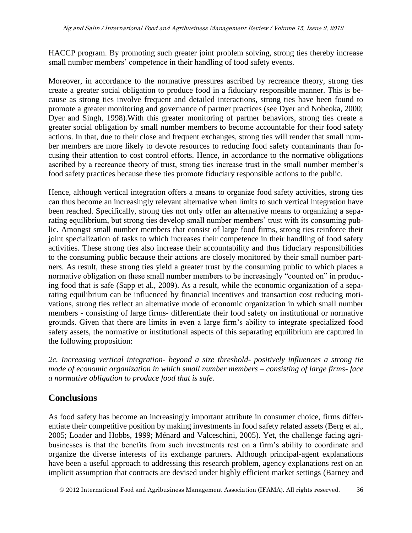HACCP program. By promoting such greater joint problem solving, strong ties thereby increase small number members' competence in their handling of food safety events.

Moreover, in accordance to the normative pressures ascribed by recreance theory, strong ties create a greater social obligation to produce food in a fiduciary responsible manner. This is because as strong ties involve frequent and detailed interactions, strong ties have been found to promote a greater monitoring and governance of partner practices (see Dyer and Nobeoka, 2000; Dyer and Singh, 1998).With this greater monitoring of partner behaviors, strong ties create a greater social obligation by small number members to become accountable for their food safety actions. In that, due to their close and frequent exchanges, strong ties will render that small number members are more likely to devote resources to reducing food safety contaminants than focusing their attention to cost control efforts. Hence, in accordance to the normative obligations ascribed by a recreance theory of trust, strong ties increase trust in the small number member's food safety practices because these ties promote fiduciary responsible actions to the public.

Hence, although vertical integration offers a means to organize food safety activities, strong ties can thus become an increasingly relevant alternative when limits to such vertical integration have been reached. Specifically, strong ties not only offer an alternative means to organizing a separating equilibrium, but strong ties develop small number members' trust with its consuming public. Amongst small number members that consist of large food firms, strong ties reinforce their joint specialization of tasks to which increases their competence in their handling of food safety activities. These strong ties also increase their accountability and thus fiduciary responsibilities to the consuming public because their actions are closely monitored by their small number partners. As result, these strong ties yield a greater trust by the consuming public to which places a normative obligation on these small number members to be increasingly "counted on" in producing food that is safe (Sapp et al., 2009). As a result, while the economic organization of a separating equilibrium can be influenced by financial incentives and transaction cost reducing motivations, strong ties reflect an alternative mode of economic organization in which small number members - consisting of large firms- differentiate their food safety on institutional or normative grounds. Given that there are limits in even a large firm's ability to integrate specialized food safety assets, the normative or institutional aspects of this separating equilibrium are captured in the following proposition:

*2c. Increasing vertical integration- beyond a size threshold- positively influences a strong tie mode of economic organization in which small number members – consisting of large firms- face a normative obligation to produce food that is safe.* 

# **Conclusions**

As food safety has become an increasingly important attribute in consumer choice, firms differentiate their competitive position by making investments in food safety related assets (Berg et al., 2005; Loader and Hobbs, 1999; Ménard and Valceschini, 2005). Yet, the challenge facing agribusinesses is that the benefits from such investments rest on a firm's ability to coordinate and organize the diverse interests of its exchange partners. Although principal-agent explanations have been a useful approach to addressing this research problem, agency explanations rest on an implicit assumption that contracts are devised under highly efficient market settings (Barney and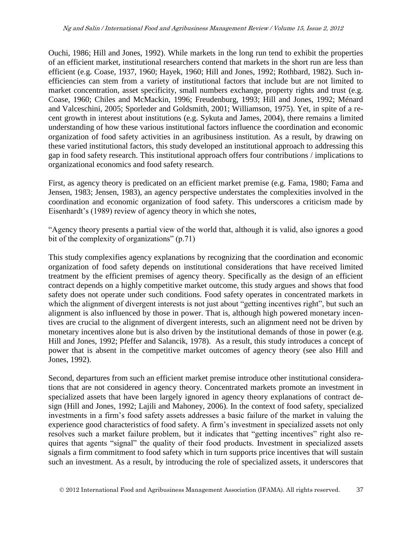Ouchi, 1986; Hill and Jones, 1992). While markets in the long run tend to exhibit the properties of an efficient market, institutional researchers contend that markets in the short run are less than efficient (e.g. Coase, 1937, 1960; Hayek, 1960; Hill and Jones, 1992; Rothbard, 1982). Such inefficiencies can stem from a variety of institutional factors that include but are not limited to market concentration, asset specificity, small numbers exchange, property rights and trust (e.g. Coase, 1960; Chiles and McMackin, 1996; Freudenburg, 1993; Hill and Jones, 1992; Ménard and Valceschini, 2005; Sporleder and Goldsmith, 2001; Williamson, 1975). Yet, in spite of a recent growth in interest about institutions (e.g. Sykuta and James, 2004), there remains a limited understanding of how these various institutional factors influence the coordination and economic organization of food safety activities in an agribusiness institution. As a result, by drawing on these varied institutional factors, this study developed an institutional approach to addressing this gap in food safety research. This institutional approach offers four contributions / implications to organizational economics and food safety research.

First, as agency theory is predicated on an efficient market premise (e.g. Fama, 1980; Fama and Jensen, 1983; Jensen, 1983), an agency perspective understates the complexities involved in the coordination and economic organization of food safety. This underscores a criticism made by Eisenhardt's (1989) review of agency theory in which she notes,

"Agency theory presents a partial view of the world that, although it is valid, also ignores a good bit of the complexity of organizations" (p.71)

This study complexifies agency explanations by recognizing that the coordination and economic organization of food safety depends on institutional considerations that have received limited treatment by the efficient premises of agency theory. Specifically as the design of an efficient contract depends on a highly competitive market outcome, this study argues and shows that food safety does not operate under such conditions. Food safety operates in concentrated markets in which the alignment of divergent interests is not just about "getting incentives right", but such an alignment is also influenced by those in power. That is, although high powered monetary incentives are crucial to the alignment of divergent interests, such an alignment need not be driven by monetary incentives alone but is also driven by the institutional demands of those in power (e.g. Hill and Jones, 1992; Pfeffer and Salancik, 1978). As a result, this study introduces a concept of power that is absent in the competitive market outcomes of agency theory (see also Hill and Jones, 1992).

Second, departures from such an efficient market premise introduce other institutional considerations that are not considered in agency theory. Concentrated markets promote an investment in specialized assets that have been largely ignored in agency theory explanations of contract design (Hill and Jones, 1992; Lajili and Mahoney, 2006). In the context of food safety, specialized investments in a firm's food safety assets addresses a basic failure of the market in valuing the experience good characteristics of food safety. A firm's investment in specialized assets not only resolves such a market failure problem, but it indicates that "getting incentives" right also requires that agents "signal" the quality of their food products. Investment in specialized assets signals a firm commitment to food safety which in turn supports price incentives that will sustain such an investment. As a result, by introducing the role of specialized assets, it underscores that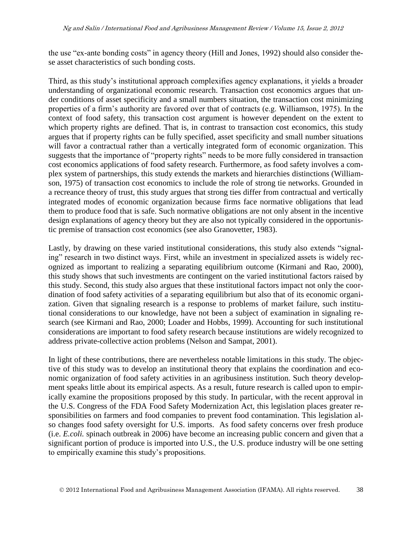the use "ex-ante bonding costs" in agency theory (Hill and Jones, 1992) should also consider these asset characteristics of such bonding costs.

Third, as this study's institutional approach complexifies agency explanations, it yields a broader understanding of organizational economic research. Transaction cost economics argues that under conditions of asset specificity and a small numbers situation, the transaction cost minimizing properties of a firm's authority are favored over that of contracts (e.g. Williamson, 1975). In the context of food safety, this transaction cost argument is however dependent on the extent to which property rights are defined. That is, in contrast to transaction cost economics, this study argues that if property rights can be fully specified, asset specificity and small number situations will favor a contractual rather than a vertically integrated form of economic organization. This suggests that the importance of "property rights" needs to be more fully considered in transaction cost economics applications of food safety research. Furthermore, as food safety involves a complex system of partnerships, this study extends the markets and hierarchies distinctions (Williamson, 1975) of transaction cost economics to include the role of strong tie networks. Grounded in a recreance theory of trust, this study argues that strong ties differ from contractual and vertically integrated modes of economic organization because firms face normative obligations that lead them to produce food that is safe. Such normative obligations are not only absent in the incentive design explanations of agency theory but they are also not typically considered in the opportunistic premise of transaction cost economics (see also Granovetter, 1983).

Lastly, by drawing on these varied institutional considerations, this study also extends "signaling" research in two distinct ways. First, while an investment in specialized assets is widely recognized as important to realizing a separating equilibrium outcome (Kirmani and Rao, 2000), this study shows that such investments are contingent on the varied institutional factors raised by this study. Second, this study also argues that these institutional factors impact not only the coordination of food safety activities of a separating equilibrium but also that of its economic organization. Given that signaling research is a response to problems of market failure, such institutional considerations to our knowledge, have not been a subject of examination in signaling research (see Kirmani and Rao, 2000; Loader and Hobbs, 1999). Accounting for such institutional considerations are important to food safety research because institutions are widely recognized to address private-collective action problems (Nelson and Sampat, 2001).

In light of these contributions, there are nevertheless notable limitations in this study. The objective of this study was to develop an institutional theory that explains the coordination and economic organization of food safety activities in an agribusiness institution. Such theory development speaks little about its empirical aspects. As a result, future research is called upon to empirically examine the propositions proposed by this study. In particular, with the recent approval in the U.S. Congress of the FDA Food Safety Modernization Act, this legislation places greater responsibilities on farmers and food companies to prevent food contamination. This legislation also changes food safety oversight for U.S. imports. As food safety concerns over fresh produce (i.e. *E.coli.* spinach outbreak in 2006) have become an increasing public concern and given that a significant portion of produce is imported into U.S., the U.S. produce industry will be one setting to empirically examine this study's propositions.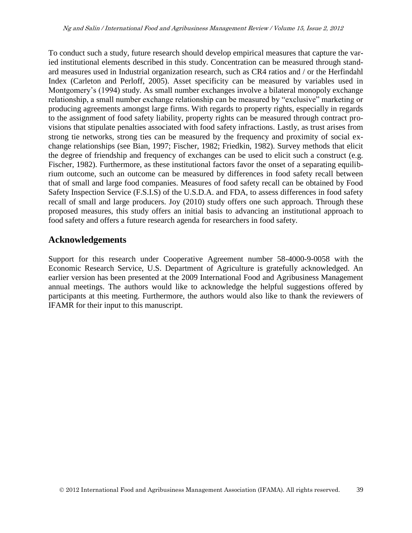To conduct such a study, future research should develop empirical measures that capture the varied institutional elements described in this study. Concentration can be measured through standard measures used in Industrial organization research, such as CR4 ratios and / or the Herfindahl Index (Carleton and Perloff, 2005). Asset specificity can be measured by variables used in Montgomery's (1994) study. As small number exchanges involve a bilateral monopoly exchange relationship, a small number exchange relationship can be measured by "exclusive" marketing or producing agreements amongst large firms. With regards to property rights, especially in regards to the assignment of food safety liability, property rights can be measured through contract provisions that stipulate penalties associated with food safety infractions. Lastly, as trust arises from strong tie networks, strong ties can be measured by the frequency and proximity of social exchange relationships (see Bian, 1997; Fischer, 1982; Friedkin, 1982). Survey methods that elicit the degree of friendship and frequency of exchanges can be used to elicit such a construct (e.g. Fischer, 1982). Furthermore, as these institutional factors favor the onset of a separating equilibrium outcome, such an outcome can be measured by differences in food safety recall between that of small and large food companies. Measures of food safety recall can be obtained by Food Safety Inspection Service (F.S.I.S) of the U.S.D.A. and FDA, to assess differences in food safety recall of small and large producers. Joy (2010) study offers one such approach. Through these proposed measures, this study offers an initial basis to advancing an institutional approach to food safety and offers a future research agenda for researchers in food safety.

### **Acknowledgements**

Support for this research under Cooperative Agreement number 58-4000-9-0058 with the Economic Research Service, U.S. Department of Agriculture is gratefully acknowledged. An earlier version has been presented at the 2009 International Food and Agribusiness Management annual meetings. The authors would like to acknowledge the helpful suggestions offered by participants at this meeting. Furthermore, the authors would also like to thank the reviewers of IFAMR for their input to this manuscript.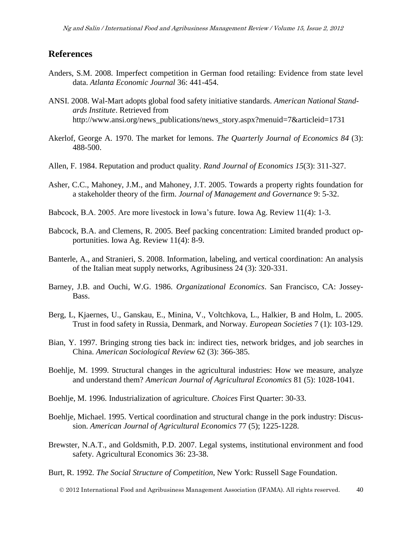#### **References**

- Anders, S.M. 2008. Imperfect competition in German food retailing: Evidence from state level data. *Atlanta Economic Journal* 36: 441-454.
- ANSI. 2008. Wal-Mart adopts global food safety initiative standards. *American National Standards Institute*. Retrieved from http://www.ansi.org/news\_publications/news\_story.aspx?menuid=7&articleid=1731
- Akerlof, George A. 1970. The market for lemons. *The Quarterly Journal of Economics 84* (3): 488-500.
- Allen, F. 1984. Reputation and product quality. *Rand Journal of Economics 15*(3): 311-327.
- Asher, C.C., Mahoney, J.M., and Mahoney, J.T. 2005. Towards a property rights foundation for a stakeholder theory of the firm. *Journal of Management and Governance* 9: 5-32.
- Babcock, B.A. 2005. Are more livestock in Iowa's future. Iowa Ag. Review 11(4): 1-3.
- Babcock, B.A. and Clemens, R. 2005. Beef packing concentration: Limited branded product opportunities. Iowa Ag. Review 11(4): 8-9.
- Banterle, A., and Stranieri, S. 2008. Information, labeling, and vertical coordination: An analysis of the Italian meat supply networks, Agribusiness 24 (3): 320-331.
- Barney, J.B. and Ouchi, W.G. 1986. *Organizational Economics*. San Francisco, CA: Jossey-Bass.
- Berg, L, Kjaernes, U., Ganskau, E., Minina, V., Voltchkova, L., Halkier, B and Holm, L. 2005. Trust in food safety in Russia, Denmark, and Norway. *European Societies* 7 (1): 103-129.
- Bian, Y. 1997. Bringing strong ties back in: indirect ties, network bridges, and job searches in China. *American Sociological Review* 62 (3): 366-385.
- Boehlje, M. 1999. Structural changes in the agricultural industries: How we measure, analyze and understand them? *American Journal of Agricultural Economics* 81 (5): 1028-1041.
- Boehlje, M. 1996. Industrialization of agriculture. *Choices* First Quarter: 30-33.
- Boehlje, Michael. 1995. Vertical coordination and structural change in the pork industry: Discussion. *American Journal of Agricultural Economics* 77 (5); 1225-1228.
- Brewster, N.A.T., and Goldsmith, P.D. 2007. Legal systems, institutional environment and food safety. Agricultural Economics 36: 23-38.
- Burt, R. 1992*. The Social Structure of Competition*, New York: Russell Sage Foundation.

2012 International Food and Agribusiness Management Association (IFAMA). All rights reserved. 40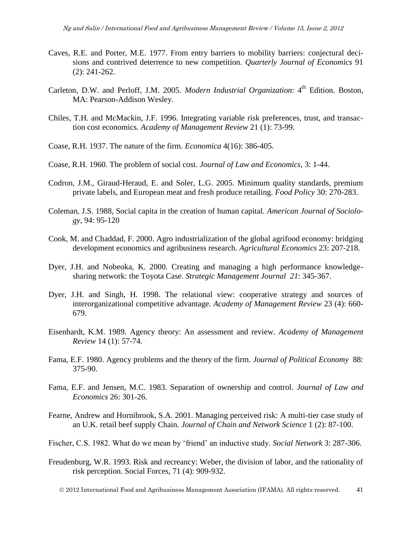- Caves, R.E. and Porter, M.E. 1977. From entry barriers to mobility barriers: conjectural decisions and contrived deterrence to new competition. *Quarterly Journal of Economics* 91 (2): 241-262.
- Carleton, D.W. and Perloff, J.M. 2005. *Modern Industrial Organization*: 4<sup>th</sup> Edition. Boston, MA: Pearson-Addison Wesley.
- Chiles, T.H. and McMackin, J.F. 1996. Integrating variable risk preferences, trust, and transaction cost economics. *Academy of Management Review* 21 (1): 73-99.
- Coase, R.H. 1937. The nature of the firm. *Economica* 4(16): 386-405.
- Coase, R.H. 1960. The problem of social cost. *Journal of Law and Economics*, 3: 1-44.
- Codron, J.M., Giraud-Heraud, E. and Soler, L.G. 2005. Minimum quality standards, premium private labels, and European meat and fresh produce retailing. *Food Policy* 30: 270-283.
- Coleman, J.S. 1988, Social capita in the creation of human capital. *American Journal of Sociology*, 94: 95-120
- Cook, M. and Chaddad, F. 2000. Agro industrialization of the global agrifood economy: bridging development economics and agribusiness research. *Agricultural Economics* 23: 207-218.
- Dyer, J.H. and Nobeoka, K. 2000. Creating and managing a high performance knowledgesharing network: the Toyota Case. *Strategic Management Journal 21*: 345-367.
- Dyer, J.H. and Singh, H. 1998. The relational view: cooperative strategy and sources of interorganizational competitive advantage. *Academy of Management Review* 23 (4): 660- 679.
- Eisenhardt, K.M. 1989. Agency theory: An assessment and review. *Academy of Management Review* 14 (1): 57-74.
- Fama, E.F. 1980. Agency problems and the theory of the firm. *Journal of Political Economy* 88: 375-90.
- Fama, E.F. and Jensen, M.C. 1983. Separation of ownership and control. *Journal of Law and Economics* 26: 301-26.
- Fearne, Andrew and Hornibrook, S.A. 2001. Managing perceived risk: A multi-tier case study of an U.K. retail beef supply Chain. *Journal of Chain and Network Science* 1 (2): 87-100.
- Fischer, C.S. 1982. What do we mean by 'friend' an inductive study. *Social Network* 3: 287-306.
- Freudenburg, W.R. 1993. Risk and recreancy: Weber, the division of labor, and the rationality of risk perception. Social Forces, 71 (4): 909-932.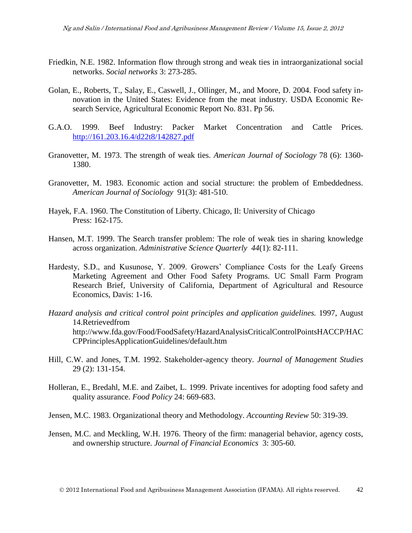- Friedkin, N.E. 1982. Information flow through strong and weak ties in intraorganizational social networks. *Social networks* 3: 273-285.
- Golan, E., Roberts, T., Salay, E., Caswell, J., Ollinger, M., and Moore, D. 2004. Food safety innovation in the United States: Evidence from the meat industry. USDA Economic Research Service, Agricultural Economic Report No. 831. Pp 56.
- G.A.O. 1999. Beef Industry: Packer Market Concentration and Cattle Prices. <http://161.203.16.4/d22t8/142827.pdf>
- Granovetter, M. 1973. The strength of weak ties. *American Journal of Sociology* 78 (6): 1360- 1380.
- Granovetter, M. 1983. Economic action and social structure: the problem of Embeddedness. *American Journal of Sociology* 91(3): 481-510.
- Hayek, F.A. 1960. The Constitution of Liberty. Chicago, Il: University of Chicago Press: 162-175.
- Hansen, M.T. 1999. The Search transfer problem: The role of weak ties in sharing knowledge across organization. *Administrative Science Quarterly 44*(1): 82-111.
- Hardesty, S.D., and Kusunose, Y. 2009. Growers' Compliance Costs for the Leafy Greens Marketing Agreement and Other Food Safety Programs. UC Small Farm Program Research Brief, University of California, Department of Agricultural and Resource Economics, Davis: 1-16.
- *Hazard analysis and critical control point principles and application guidelines.* 1997, August 14.Retrievedfrom http://www.fda.gov/Food/FoodSafety/HazardAnalysisCriticalControlPointsHACCP/HAC CPPrinciplesApplicationGuidelines/default.htm
- Hill, C.W. and Jones, T.M. 1992. Stakeholder-agency theory. *Journal of Management Studies* 29 (2): 131-154.
- Holleran, E., Bredahl, M.E. and Zaibet, L. 1999. Private incentives for adopting food safety and quality assurance. *Food Policy* 24: 669-683.
- Jensen, M.C. 1983. Organizational theory and Methodology. *Accounting Review* 50: 319-39.
- Jensen, M.C. and Meckling, W.H. 1976. Theory of the firm: managerial behavior, agency costs, and ownership structure. *Journal of Financial Economics* 3: 305-60.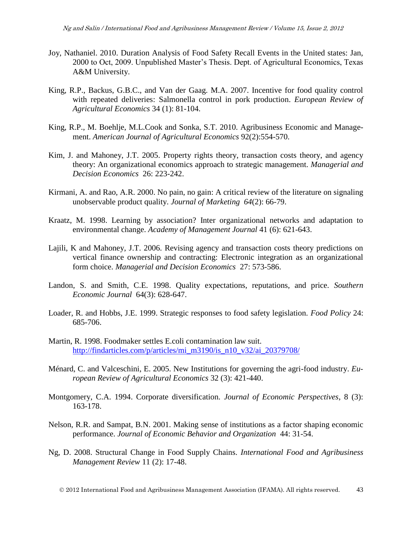- Joy, Nathaniel. 2010. Duration Analysis of Food Safety Recall Events in the United states: Jan, 2000 to Oct, 2009. Unpublished Master's Thesis. Dept. of Agricultural Economics, Texas A&M University.
- King, R.P., Backus, G.B.C., and Van der Gaag. M.A. 2007. Incentive for food quality control with repeated deliveries: Salmonella control in pork production. *European Review of Agricultural Economics* 34 (1): 81-104.
- King, R.P., M. Boehlje, M.L.Cook and Sonka, S.T. 2010. Agribusiness Economic and Management. *American Journal of Agricultural Economics* 92(2):554-570.
- Kim, J. and Mahoney, J.T. 2005. Property rights theory, transaction costs theory, and agency theory: An organizational economics approach to strategic management. *Managerial and Decision Economics* 26: 223-242.
- Kirmani, A. and Rao, A.R. 2000. No pain, no gain: A critical review of the literature on signaling unobservable product quality. *Journal of Marketing 64*(2): 66-79.
- Kraatz, M. 1998. Learning by association? Inter organizational networks and adaptation to environmental change. *Academy of Management Journal* 41 (6): 621-643.
- Lajili, K and Mahoney, J.T. 2006. Revising agency and transaction costs theory predictions on vertical finance ownership and contracting: Electronic integration as an organizational form choice. *Managerial and Decision Economics* 27: 573-586.
- Landon, S. and Smith, C.E. 1998. Quality expectations, reputations, and price. *Southern Economic Journal* 64(3): 628-647.
- Loader, R. and Hobbs, J.E. 1999. Strategic responses to food safety legislation. *Food Policy* 24: 685-706.
- Martin, R. 1998. Foodmaker settles E.coli contamination law suit. [http://findarticles.com/p/articles/mi\\_m3190/is\\_n10\\_v32/ai\\_20379708/](http://findarticles.com/p/articles/mi_m3190/is_n10_v32/ai_20379708/)
- Ménard, C. and Valceschini, E. 2005. New Institutions for governing the agri-food industry. *European Review of Agricultural Economics* 32 (3): 421-440.
- Montgomery, C.A. 1994. Corporate diversification. *Journal of Economic Perspectives*, 8 (3): 163-178.
- Nelson, R.R. and Sampat, B.N. 2001. Making sense of institutions as a factor shaping economic performance. *Journal of Economic Behavior and Organization* 44: 31-54.
- Ng, D. 2008. Structural Change in Food Supply Chains. *International Food and Agribusiness Management Review* 11 (2): 17-48.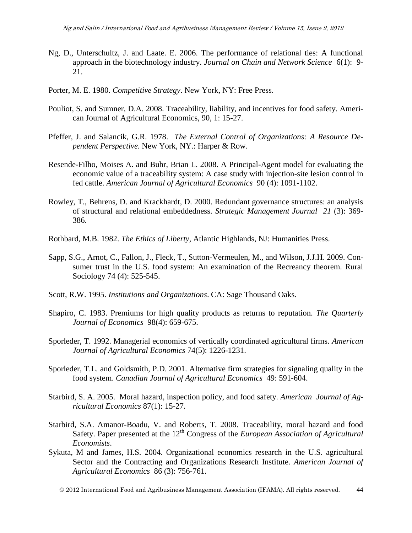- Ng, D., Unterschultz, J. and Laate. E. 2006. The performance of relational ties: A functional approach in the biotechnology industry. *Journal on Chain and Network Science* 6(1): 9- 21.
- Porter, M. E. 1980. *Competitive Strategy*. New York, NY: Free Press.
- Pouliot, S. and Sumner, D.A. 2008. Traceability, liability, and incentives for food safety. American Journal of Agricultural Economics, 90, 1: 15-27.
- Pfeffer, J. and Salancik, G.R. 1978. *The External Control of Organizations: A Resource Dependent Perspective*. New York, NY.: Harper & Row.
- Resende-Filho, Moises A. and Buhr, Brian L. 2008. A Principal-Agent model for evaluating the economic value of a traceability system: A case study with injection-site lesion control in fed cattle. *American Journal of Agricultural Economics* 90 (4): 1091-1102.
- Rowley, T., Behrens, D. and Krackhardt, D. 2000. Redundant governance structures: an analysis of structural and relational embeddedness. *Strategic Management Journal 21* (3): 369- 386.
- Rothbard, M.B. 1982. *The Ethics of Liberty*, Atlantic Highlands, NJ: Humanities Press.
- Sapp, S.G., Arnot, C., Fallon, J., Fleck, T., Sutton-Vermeulen, M., and Wilson, J.J.H. 2009. Consumer trust in the U.S. food system: An examination of the Recreancy theorem. Rural Sociology 74 (4): 525-545.
- Scott, R.W. 1995. *Institutions and Organizations*. CA: Sage Thousand Oaks.
- Shapiro, C. 1983. Premiums for high quality products as returns to reputation. *The Quarterly Journal of Economics* 98(4): 659-675.
- Sporleder, T. 1992. Managerial economics of vertically coordinated agricultural firms. *American Journal of Agricultural Economics* 74(5): 1226-1231.
- Sporleder, T.L. and Goldsmith, P.D. 2001. Alternative firm strategies for signaling quality in the food system. *Canadian Journal of Agricultural Economics* 49: 591-604.
- Starbird, S. A. 2005. Moral hazard, inspection policy, and food safety. *American Journal of Agricultural Economics* 87(1): 15-27.
- Starbird, S.A. Amanor-Boadu, V. and Roberts, T. 2008. Traceability, moral hazard and food Safety. Paper presented at the 12<sup>th</sup> Congress of the *European Association of Agricultural Economists*.
- Sykuta, M and James, H.S. 2004. Organizational economics research in the U.S. agricultural Sector and the Contracting and Organizations Research Institute. *American Journal of Agricultural Economics* 86 (3): 756-761.

2012 International Food and Agribusiness Management Association (IFAMA). All rights reserved. 44